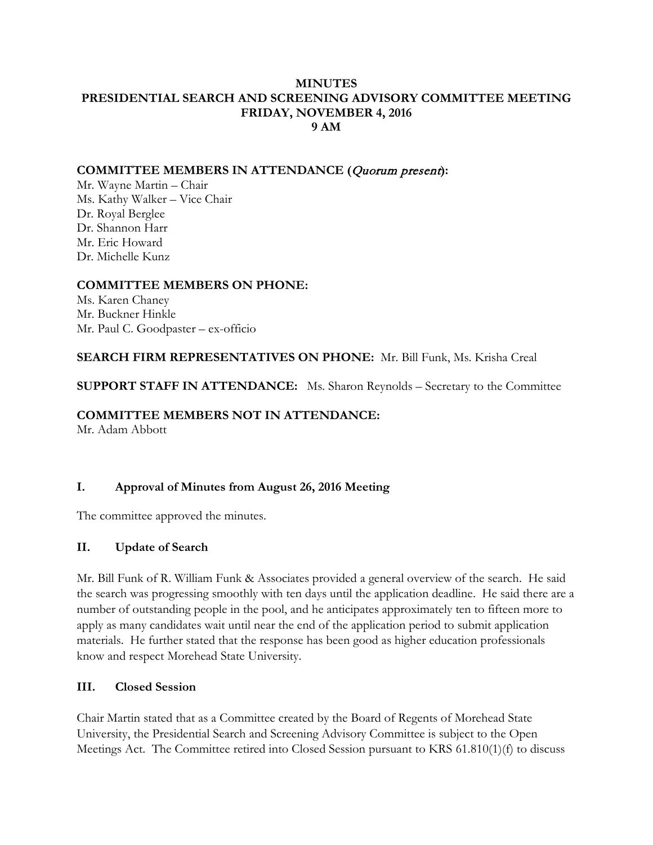#### **MINUTES PRESIDENTIAL SEARCH AND SCREENING ADVISORY COMMITTEE MEETING FRIDAY, NOVEMBER 4, 2016 9 AM**

#### **COMMITTEE MEMBERS IN ATTENDANCE (**Quorum present**):**

Mr. Wayne Martin – Chair Ms. Kathy Walker – Vice Chair Dr. Royal Berglee Dr. Shannon Harr Mr. Eric Howard Dr. Michelle Kunz

### **COMMITTEE MEMBERS ON PHONE:**

Ms. Karen Chaney Mr. Buckner Hinkle Mr. Paul C. Goodpaster – ex-officio

### **SEARCH FIRM REPRESENTATIVES ON PHONE:** Mr. Bill Funk, Ms. Krisha Creal

**SUPPORT STAFF IN ATTENDANCE:** Ms. Sharon Reynolds – Secretary to the Committee

#### **COMMITTEE MEMBERS NOT IN ATTENDANCE:**

Mr. Adam Abbott

### **I. Approval of Minutes from August 26, 2016 Meeting**

The committee approved the minutes.

#### **II. Update of Search**

Mr. Bill Funk of R. William Funk & Associates provided a general overview of the search. He said the search was progressing smoothly with ten days until the application deadline. He said there are a number of outstanding people in the pool, and he anticipates approximately ten to fifteen more to apply as many candidates wait until near the end of the application period to submit application materials. He further stated that the response has been good as higher education professionals know and respect Morehead State University.

#### **III. Closed Session**

Chair Martin stated that as a Committee created by the Board of Regents of Morehead State University, the Presidential Search and Screening Advisory Committee is subject to the Open Meetings Act. The Committee retired into Closed Session pursuant to KRS 61.810(1)(f) to discuss